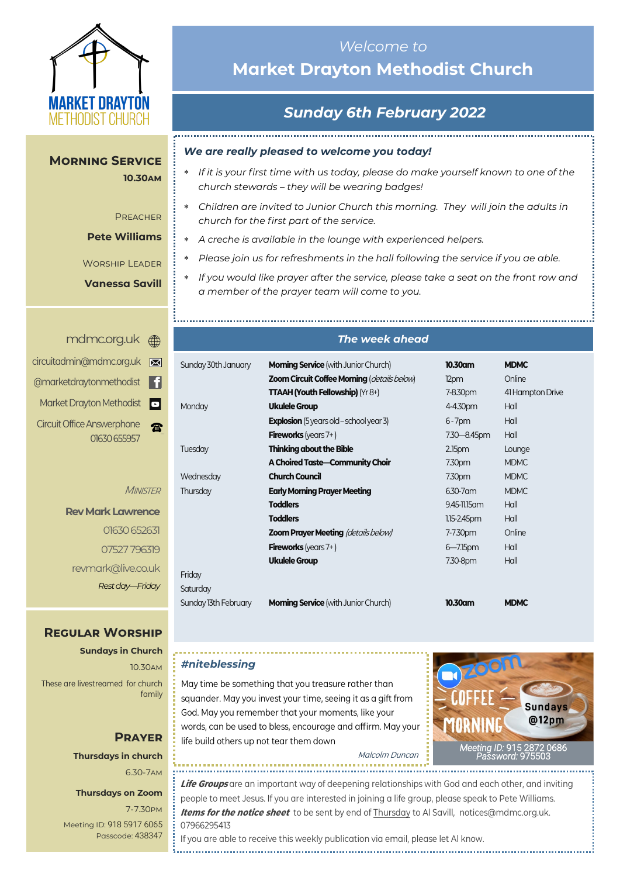

**Morning Service** 

**10.30am**

**PREACHER** 

**Pete Williams**

Worship Leader **Vanessa Savill**

# *Welcome to*  **Market Drayton Methodist Church**

# *Sunday 6th February 2022*

#### *We are really pleased to welcome you today!*

- *If it is your first time with us today, please do make yourself known to one of the church stewards – they will be wearing badges!*
- *Children are invited to Junior Church this morning. They will join the adults in church for the first part of the service.*
- *A creche is available in the lounge with experienced helpers.*
- *Please join us for refreshments in the hall following the service if you ae able.*
- *If you would like prayer after the service, please take a seat on the front row and a member of the prayer team will come to you.*

#### <mdmc.org.uk>

| ⊠ | circuitadmin@mdmc.org.uk                          |
|---|---------------------------------------------------|
| H | @marketdraytonmethodist                           |
| o | Market Drayton Methodist                          |
|   | <b>Circuit Office Answerphone</b><br>01630 655957 |

**MINISTER** 

```
Rev Mark Lawrence
       01630 652631 
      07527 796319
revmark@live.co.uk 
     Rest day—Friday
```
### **Regular Worship**

**Sundays in Church** 10.30am These are livestreamed for church family

### **Prayer Thursdays in church** 6.30-7am

#### **Thursdays on Zoom**

7-7.30pm [Meeting ID:](https://us04web.zoom.us/j/77138650306?fbclid=IwAR1B778-w3GWZgDnAqUFq-X6hXjzASNTsZuRIt4kZ4Cpyur_3CO2EGlBBwY#success) 918 5917 6065 Passcode: 438347

#### *The week ahead*

| Sunday 30th January  | <b>Morning Service</b> (with Junior Church)        | 10.30am            | <b>MDMC</b>      |
|----------------------|----------------------------------------------------|--------------------|------------------|
|                      | <b>Zoom Circuit Coffee Morning (details below)</b> | 12pm               | Online           |
|                      | <b>TTAAH (Youth Fellowship)</b> ( $Yr8+$ )         | 7-8.30pm           | 41 Hampton Drive |
| Monday               | <b>Ukulele Group</b>                               | 4-4.30pm           | Hall             |
|                      | <b>Explosion</b> (5 years old – school year 3)     | $6 - 7$ pm         | Hall             |
|                      | <b>Fireworks</b> (years $7+$ )                     | 7.30 - 8.45pm      | Hall             |
| Tuesday              | <b>Thinking about the Bible</b>                    | 2.15 <sub>pm</sub> | Lounge           |
|                      | A Choired Taste-Community Choir                    | 7.30pm             | <b>MDMC</b>      |
| Wednesday            | <b>Church Council</b>                              | 7.30pm             | <b>MDMC</b>      |
| Thursday             | <b>Early Morning Prayer Meeting</b>                | 6.30-7 am          | <b>MDMC</b>      |
|                      | <b>Toddlers</b>                                    | 9.45-11.15 am      | Hall             |
|                      | <b>Toddlers</b>                                    | $1.15 - 2.45$ pm   | Hall             |
|                      | <b>Zoom Prayer Meeting (details below)</b>         | 7-7.30pm           | Online           |
|                      | <b>Fireworks</b> (years $7+$ )                     | $6 - 7.15$ pm      | Hall             |
|                      | <b>Ukulele Group</b>                               | 7.30-8pm           | Hall             |
| Friday               |                                                    |                    |                  |
| Saturday             |                                                    |                    |                  |
| Sunday 13th February | <b>Morning Service</b> (with Junior Church)        | 10.30am            | <b>MDMC</b>      |
|                      |                                                    |                    |                  |

#### *#niteblessing*

May time be something that you treasure rather than squander. May you invest your time, seeing it as a gift from God. May you remember that your moments, like your words, can be used to bless, encourage and affirm. May your life build others up not tear them down



Malcolm Duncan

**Life Groups** are an important way of deepening relationships with God and each other, and inviting people to meet Jesus. If you are interested in joining a life group, please speak to Pete Williams. **Items for the notice sheet** to be sent by end of Thursday to Al Savill, notices@mdmc.org.uk. 07966295413 If you are able to receive this weekly publication via email, please let Al know.